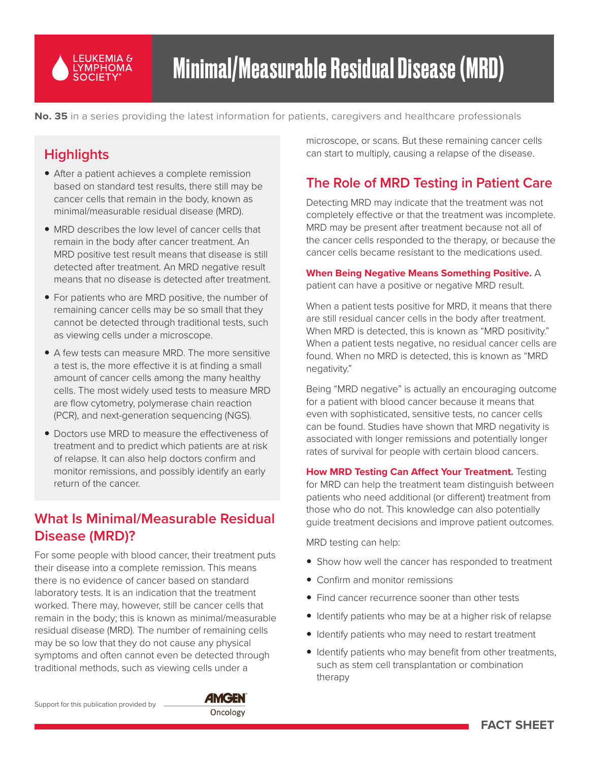

**No. 35** in a series providing the latest information for patients, caregivers and healthcare professionals

# **Highlights**

- After a patient achieves a complete remission based on standard test results, there still may be cancer cells that remain in the body, known as minimal/measurable residual disease (MRD).
- MRD describes the low level of cancer cells that remain in the body after cancer treatment. An MRD positive test result means that disease is still detected after treatment. An MRD negative result means that no disease is detected after treatment.
- For patients who are MRD positive, the number of remaining cancer cells may be so small that they cannot be detected through traditional tests, such as viewing cells under a microscope.
- A few tests can measure MRD. The more sensitive a test is, the more effective it is at finding a small amount of cancer cells among the many healthy cells. The most widely used tests to measure MRD are flow cytometry, polymerase chain reaction (PCR), and next-generation sequencing (NGS).
- Doctors use MRD to measure the effectiveness of treatment and to predict which patients are at risk of relapse. It can also help doctors confirm and monitor remissions, and possibly identify an early return of the cancer.

# **What Is Minimal/Measurable Residual Disease (MRD)?**

For some people with blood cancer, their treatment puts their disease into a complete remission. This means there is no evidence of cancer based on standard laboratory tests. It is an indication that the treatment worked. There may, however, still be cancer cells that remain in the body; this is known as minimal/measurable residual disease (MRD). The number of remaining cells may be so low that they do not cause any physical symptoms and often cannot even be detected through traditional methods, such as viewing cells under a

microscope, or scans. But these remaining cancer cells can start to multiply, causing a relapse of the disease.

# **The Role of MRD Testing in Patient Care**

Detecting MRD may indicate that the treatment was not completely effective or that the treatment was incomplete. MRD may be present after treatment because not all of the cancer cells responded to the therapy, or because the cancer cells became resistant to the medications used.

#### **When Being Negative Means Something Positive.** A

patient can have a positive or negative MRD result.

When a patient tests positive for MRD, it means that there are still residual cancer cells in the body after treatment. When MRD is detected, this is known as "MRD positivity." When a patient tests negative, no residual cancer cells are found. When no MRD is detected, this is known as "MRD negativity."

Being "MRD negative" is actually an encouraging outcome for a patient with blood cancer because it means that even with sophisticated, sensitive tests, no cancer cells can be found. Studies have shown that MRD negativity is associated with longer remissions and potentially longer rates of survival for people with certain blood cancers.

**How MRD Testing Can Affect Your Treatment.** Testing for MRD can help the treatment team distinguish between patients who need additional (or different) treatment from those who do not. This knowledge can also potentially guide treatment decisions and improve patient outcomes.

MRD testing can help:

- Show how well the cancer has responded to treatment
- $\bullet$  Confirm and monitor remissions
- Find cancer recurrence sooner than other tests
- Identify patients who may be at a higher risk of relapse
- Identify patients who may need to restart treatment
- Identify patients who may benefit from other treatments, such as stem cell transplantation or combination therapy

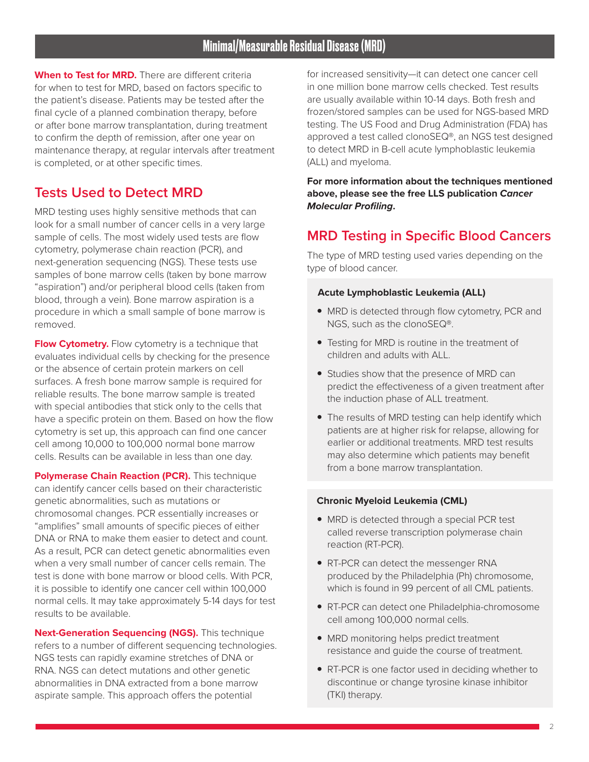**When to Test for MRD.** There are different criteria for when to test for MRD, based on factors specific to the patient's disease. Patients may be tested after the final cycle of a planned combination therapy, before or after bone marrow transplantation, during treatment to confirm the depth of remission, after one year on maintenance therapy, at regular intervals after treatment is completed, or at other specific times.

## **Tests Used to Detect MRD**

MRD testing uses highly sensitive methods that can look for a small number of cancer cells in a very large sample of cells. The most widely used tests are flow cytometry, polymerase chain reaction (PCR), and next-generation sequencing (NGS). These tests use samples of bone marrow cells (taken by bone marrow "aspiration") and/or peripheral blood cells (taken from blood, through a vein). Bone marrow aspiration is a procedure in which a small sample of bone marrow is removed.

**Flow Cytometry.** Flow cytometry is a technique that evaluates individual cells by checking for the presence or the absence of certain protein markers on cell surfaces. A fresh bone marrow sample is required for reliable results. The bone marrow sample is treated with special antibodies that stick only to the cells that have a specific protein on them. Based on how the flow cytometry is set up, this approach can find one cancer cell among 10,000 to 100,000 normal bone marrow cells. Results can be available in less than one day.

**Polymerase Chain Reaction (PCR).** This technique can identify cancer cells based on their characteristic genetic abnormalities, such as mutations or chromosomal changes. PCR essentially increases or "amplifies" small amounts of specific pieces of either DNA or RNA to make them easier to detect and count. As a result, PCR can detect genetic abnormalities even when a very small number of cancer cells remain. The test is done with bone marrow or blood cells. With PCR, it is possible to identify one cancer cell within 100,000 normal cells. It may take approximately 5-14 days for test results to be available.

**Next-Generation Sequencing (NGS).** This technique refers to a number of different sequencing technologies. NGS tests can rapidly examine stretches of DNA or RNA. NGS can detect mutations and other genetic abnormalities in DNA extracted from a bone marrow aspirate sample. This approach offers the potential

for increased sensitivity—it can detect one cancer cell in one million bone marrow cells checked. Test results are usually available within 10-14 days. Both fresh and frozen/stored samples can be used for NGS-based MRD testing. The US Food and Drug Administration (FDA) has approved a test called clonoSEQ®, an NGS test designed to detect MRD in B-cell acute lymphoblastic leukemia (ALL) and myeloma.

**For more information about the techniques mentioned above, please see the free LLS publication** *Cancer Molecular Profiling***.**

## **MRD Testing in Specific Blood Cancers**

The type of MRD testing used varies depending on the type of blood cancer.

#### **Acute Lymphoblastic Leukemia (ALL)**

- MRD is detected through flow cytometry, PCR and NGS, such as the clonoSEQ®.
- Testing for MRD is routine in the treatment of children and adults with ALL.
- Studies show that the presence of MRD can predict the effectiveness of a given treatment after the induction phase of ALL treatment.
- The results of MRD testing can help identify which patients are at higher risk for relapse, allowing for earlier or additional treatments. MRD test results may also determine which patients may benefit from a bone marrow transplantation.

#### **Chronic Myeloid Leukemia (CML)**

- MRD is detected through a special PCR test called reverse transcription polymerase chain reaction (RT-PCR).
- RT-PCR can detect the messenger RNA produced by the Philadelphia (Ph) chromosome, which is found in 99 percent of all CML patients.
- RT-PCR can detect one Philadelphia-chromosome cell among 100,000 normal cells.
- MRD monitoring helps predict treatment resistance and guide the course of treatment.
- RT-PCR is one factor used in deciding whether to discontinue or change tyrosine kinase inhibitor (TKI) therapy.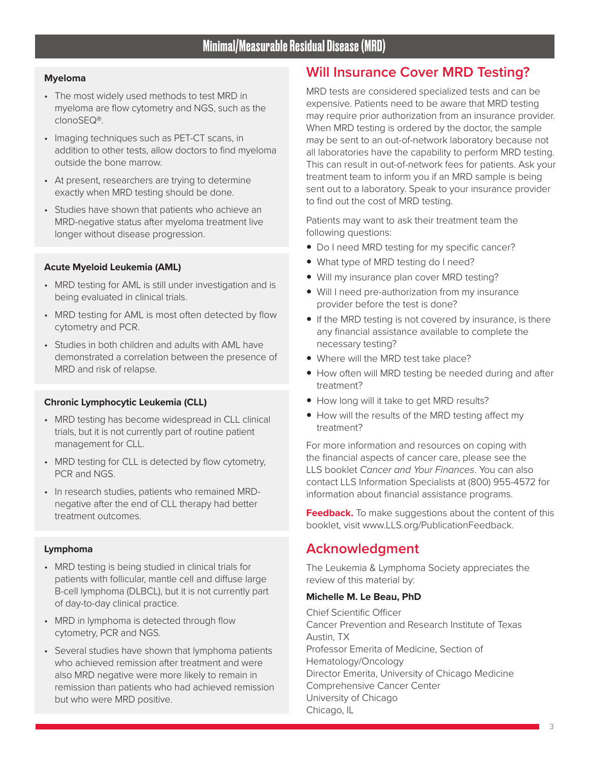#### **Myeloma**

- The most widely used methods to test MRD in myeloma are flow cytometry and NGS, such as the clonoSEQ®.
- Imaging techniques such as PET-CT scans, in addition to other tests, allow doctors to find myeloma outside the bone marrow.
- At present, researchers are trying to determine exactly when MRD testing should be done.
- Studies have shown that patients who achieve an MRD-negative status after myeloma treatment live longer without disease progression.

#### **Acute Myeloid Leukemia (AML)**

- MRD testing for AML is still under investigation and is being evaluated in clinical trials.
- MRD testing for AML is most often detected by flow cytometry and PCR.
- Studies in both children and adults with AML have demonstrated a correlation between the presence of MRD and risk of relapse.

#### **Chronic Lymphocytic Leukemia (CLL)**

- MRD testing has become widespread in CLL clinical trials, but it is not currently part of routine patient management for CLL.
- MRD testing for CLL is detected by flow cytometry, PCR and NGS.
- In research studies, patients who remained MRDnegative after the end of CLL therapy had better treatment outcomes.

#### **Lymphoma**

- MRD testing is being studied in clinical trials for patients with follicular, mantle cell and diffuse large B-cell lymphoma (DLBCL), but it is not currently part of day-to-day clinical practice.
- MRD in lymphoma is detected through flow cytometry, PCR and NGS.
- Several studies have shown that lymphoma patients who achieved remission after treatment and were also MRD negative were more likely to remain in remission than patients who had achieved remission but who were MRD positive.

# **Will Insurance Cover MRD Testing?**

MRD tests are considered specialized tests and can be expensive. Patients need to be aware that MRD testing may require prior authorization from an insurance provider. When MRD testing is ordered by the doctor, the sample may be sent to an out-of-network laboratory because not all laboratories have the capability to perform MRD testing. This can result in out-of-network fees for patients. Ask your treatment team to inform you if an MRD sample is being sent out to a laboratory. Speak to your insurance provider to find out the cost of MRD testing.

Patients may want to ask their treatment team the following questions:

- Do I need MRD testing for my specific cancer?
- What type of MRD testing do I need?
- Will my insurance plan cover MRD testing?
- Will I need pre-authorization from my insurance provider before the test is done?
- $\bullet$  If the MRD testing is not covered by insurance, is there any financial assistance available to complete the necessary testing?
- Where will the MRD test take place?
- How often will MRD testing be needed during and after treatment?
- How long will it take to get MRD results?
- How will the results of the MRD testing affect my treatment?

For more information and resources on coping with the financial aspects of cancer care, please see the LLS booklet *Cancer and Your Finances*. You can also contact LLS Information Specialists at (800) 955-4572 for information about financial assistance programs.

**Feedback.** To make suggestions about the content of this booklet, visit www.LLS.org/PublicationFeedback.

## **Acknowledgment**

The Leukemia & Lymphoma Society appreciates the review of this material by:

#### **Michelle M. Le Beau, PhD**

Chief Scientific Officer Cancer Prevention and Research Institute of Texas Austin, TX Professor Emerita of Medicine, Section of Hematology/Oncology Director Emerita, University of Chicago Medicine Comprehensive Cancer Center University of Chicago Chicago, IL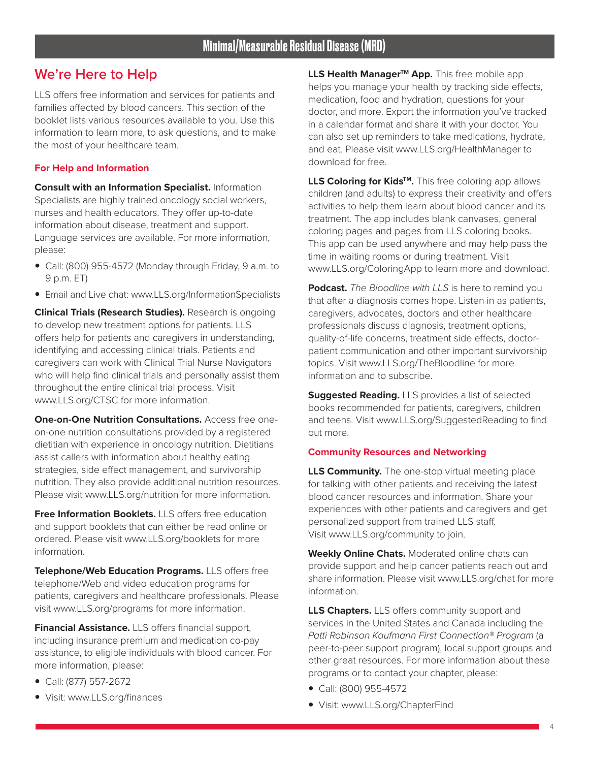## **We're Here to Help**

LLS offers free information and services for patients and families affected by blood cancers. This section of the booklet lists various resources available to you. Use this information to learn more, to ask questions, and to make the most of your healthcare team.

#### **For Help and Information**

**Consult with an Information Specialist.** Information Specialists are highly trained oncology social workers, nurses and health educators. They offer up-to-date information about disease, treatment and support. Language services are available. For more information, please:

- Call: (800) 955-4572 (Monday through Friday, 9 a.m. to 9 p.m. ET)
- Email and Live chat: www.LLS.org/InformationSpecialists

**Clinical Trials (Research Studies).** Research is ongoing to develop new treatment options for patients. LLS offers help for patients and caregivers in understanding, identifying and accessing clinical trials. Patients and caregivers can work with Clinical Trial Nurse Navigators who will help find clinical trials and personally assist them throughout the entire clinical trial process. Visit www.LLS.org/CTSC for more information.

**One-on-One Nutrition Consultations.** Access free oneon-one nutrition consultations provided by a registered dietitian with experience in oncology nutrition. Dietitians assist callers with information about healthy eating strategies, side effect management, and survivorship nutrition. They also provide additional nutrition resources. Please visit www.LLS.org/nutrition for more information.

**Free Information Booklets.** LLS offers free education and support booklets that can either be read online or ordered. Please visit www.LLS.org/booklets for more information.

**Telephone/Web Education Programs.** LLS offers free telephone/Web and video education programs for patients, caregivers and healthcare professionals. Please visit www.LLS.org/programs for more information.

**Financial Assistance.** LLS offers financial support, including insurance premium and medication co-pay assistance, to eligible individuals with blood cancer. For more information, please:

- y Call: (877) 557-2672
- Visit: www.LLS.org/finances

**LLS Health Manager™ App.** This free mobile app helps you manage your health by tracking side effects, medication, food and hydration, questions for your doctor, and more. Export the information you've tracked in a calendar format and share it with your doctor. You can also set up reminders to take medications, hydrate, and eat. Please visit www.LLS.org/HealthManager to download for free.

LLS Coloring for Kids<sup>™</sup>. This free coloring app allows children (and adults) to express their creativity and offers activities to help them learn about blood cancer and its treatment. The app includes blank canvases, general coloring pages and pages from LLS coloring books. This app can be used anywhere and may help pass the time in waiting rooms or during treatment. Visit www.LLS.org/ColoringApp to learn more and download.

**Podcast.** *The Bloodline with LLS* is here to remind you that after a diagnosis comes hope. Listen in as patients, caregivers, advocates, doctors and other healthcare professionals discuss diagnosis, treatment options, quality-of-life concerns, treatment side effects, doctorpatient communication and other important survivorship topics. Visit www.LLS.org/TheBloodline for more information and to subscribe.

**Suggested Reading.** LLS provides a list of selected books recommended for patients, caregivers, children and teens. Visit www.LLS.org/SuggestedReading to find out more.

#### **Community Resources and Networking**

**LLS Community.** The one-stop virtual meeting place for talking with other patients and receiving the latest blood cancer resources and information. Share your experiences with other patients and caregivers and get personalized support from trained LLS staff. Visit www.LLS.org/community to join.

**Weekly Online Chats.** Moderated online chats can provide support and help cancer patients reach out and share information. Please visit www.LLS.org/chat for more information.

**LLS Chapters.** LLS offers community support and services in the United States and Canada including the *Patti Robinson Kaufmann First Connection® Program* (a peer-to-peer support program), local support groups and other great resources. For more information about these programs or to contact your chapter, please:

- y Call: (800) 955-4572
- Visit: www.LLS.org/ChapterFind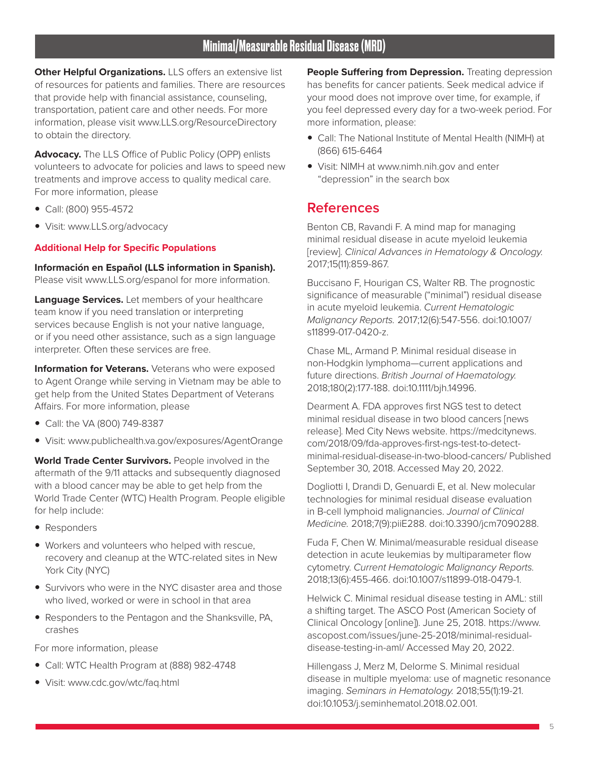**Other Helpful Organizations.** LLS offers an extensive list of resources for patients and families. There are resources that provide help with financial assistance, counseling, transportation, patient care and other needs. For more information, please visit www.LLS.org/ResourceDirectory to obtain the directory.

**Advocacy.** The LLS Office of Public Policy (OPP) enlists volunteers to advocate for policies and laws to speed new treatments and improve access to quality medical care. For more information, please

- Call: (800) 955-4572
- Visit: www.LLS.org/advocacy

#### **Additional Help for Specific Populations**

**Información en Español (LLS information in Spanish).**  Please visit www.LLS.org/espanol for more information.

**Language Services.** Let members of your healthcare team know if you need translation or interpreting services because English is not your native language, or if you need other assistance, such as a sign language interpreter. Often these services are free.

**Information for Veterans.** Veterans who were exposed to Agent Orange while serving in Vietnam may be able to get help from the United States Department of Veterans Affairs. For more information, please

- Call: the VA (800) 749-8387
- Visit: www.publichealth.va.gov/exposures/AgentOrange

**World Trade Center Survivors.** People involved in the aftermath of the 9/11 attacks and subsequently diagnosed with a blood cancer may be able to get help from the World Trade Center (WTC) Health Program. People eligible for help include:

- Responders
- Workers and volunteers who helped with rescue, recovery and cleanup at the WTC-related sites in New York City (NYC)
- Survivors who were in the NYC disaster area and those who lived, worked or were in school in that area
- Responders to the Pentagon and the Shanksville, PA, crashes

For more information, please

- Call: WTC Health Program at (888) 982-4748
- Visit: www.cdc.gov/wtc/faq.html

**People Suffering from Depression.** Treating depression has benefits for cancer patients. Seek medical advice if your mood does not improve over time, for example, if you feel depressed every day for a two-week period. For more information, please:

- Call: The National Institute of Mental Health (NIMH) at (866) 615-6464
- Visit: NIMH at www.nimh.nih.gov and enter "depression" in the search box

# **References**

Benton CB, Ravandi F. A mind map for managing minimal residual disease in acute myeloid leukemia [review]. *Clinical Advances in Hematology & Oncology.* 2017;15(11):859-867.

Buccisano F, Hourigan CS, Walter RB. The prognostic significance of measurable ("minimal") residual disease in acute myeloid leukemia. *Current Hematologic Malignancy Reports.* 2017;12(6):547-556. doi:10.1007/ s11899-017-0420-z.

Chase ML, Armand P. Minimal residual disease in non-Hodgkin lymphoma—current applications and future directions. *British Journal of Haematology.*  2018;180(2):177-188. doi:10.1111/bjh.14996.

Dearment A. FDA approves first NGS test to detect minimal residual disease in two blood cancers [news release]. Med City News website. https://medcitynews. com/2018/09/fda-approves-first-ngs-test-to-detectminimal-residual-disease-in-two-blood-cancers/ Published September 30, 2018. Accessed May 20, 2022.

Dogliotti I, Drandi D, Genuardi E, et al. New molecular technologies for minimal residual disease evaluation in B-cell lymphoid malignancies. *Journal of Clinical Medicine.* 2018;7(9):piiE288. doi:10.3390/jcm7090288.

Fuda F, Chen W. Minimal/measurable residual disease detection in acute leukemias by multiparameter flow cytometry. *Current Hematologic Malignancy Reports.* 2018;13(6):455-466. doi:10.1007/s11899-018-0479-1.

Helwick C. Minimal residual disease testing in AML: still a shifting target. The ASCO Post (American Society of Clinical Oncology [online]). June 25, 2018. https://www. ascopost.com/issues/june-25-2018/minimal-residualdisease-testing-in-aml/ Accessed May 20, 2022.

Hillengass J, Merz M, Delorme S. Minimal residual disease in multiple myeloma: use of magnetic resonance imaging. *Seminars in Hematology.* 2018;55(1):19-21. doi:10.1053/j.seminhematol.2018.02.001.